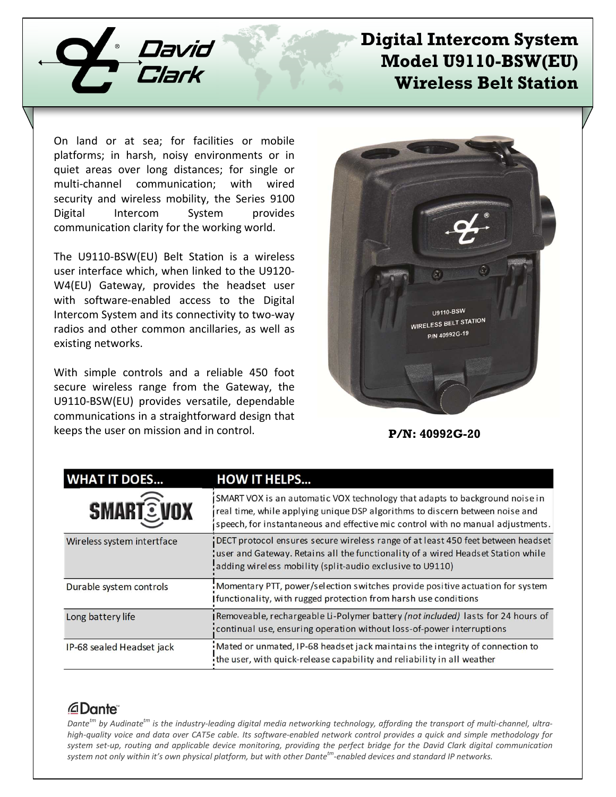

## **Digital Intercom System Model U9110-BSW(EU) Wireless Belt Station**

On land or at sea; for facilities or mobile platforms; in harsh, noisy environments or in quiet areas over long distances; for single or multi-channel communication; with wired security and wireless mobility, the Series 9100 Digital Intercom System provides communication clarity for the working world.

The U9110-BSW(EU) Belt Station is a wireless user interface which, when linked to the U9120- W4(EU) Gateway, provides the headset user with software-enabled access to the Digital Intercom System and its connectivity to two-way radios and other common ancillaries, as well as existing networks.

With simple controls and a reliable 450 foot secure wireless range from the Gateway, the U9110-BSW(EU) provides versatile, dependable communications in a straightforward design that keeps the user on mission and in control.



**P/N: 40992G-20**

| <b>WHAT IT DOES</b>        | <b>HOW IT HELPS</b>                                                                                                                                                                                                                            |
|----------------------------|------------------------------------------------------------------------------------------------------------------------------------------------------------------------------------------------------------------------------------------------|
| <b>SMART EVOX</b>          | SMART VOX is an automatic VOX technology that adapts to background noise in<br>real time, while applying unique DSP algorithms to discern between noise and<br>speech, for instantaneous and effective mic control with no manual adjustments. |
| Wireless system intertface | DECT protocol ensures secure wireless range of at least 450 feet between headset<br>user and Gateway. Retains all the functionality of a wired Headset Station while<br>adding wireless mobility (split-audio exclusive to U9110)              |
| Durable system controls    | Momentary PTT, power/selection switches provide positive actuation for system<br>Ifunctionality, with rugged protection from harsh use conditions                                                                                              |
| Long battery life          | Removeable, rechargeable Li-Polymer battery (not included) lasts for 24 hours of<br>continual use, ensuring operation without loss-of-power interruptions                                                                                      |
| IP-68 sealed Headset jack  | Mated or unmated, IP-68 headset jack maintains the integrity of connection to<br>the user, with quick-release capability and reliability in all weather                                                                                        |

## *<u>ADante</u>*

*Dantetm by Audinatetm is the industry-leading digital media networking technology, affording the transport of multi-channel, ultrahigh-quality voice and data over CAT5e cable. Its software-enabled network control provides a quick and simple methodology for system set-up, routing and applicable device monitoring, providing the perfect bridge for the David Clark digital communication system not only within it's own physical platform, but with other Dantetm-enabled devices and standard IP networks.*